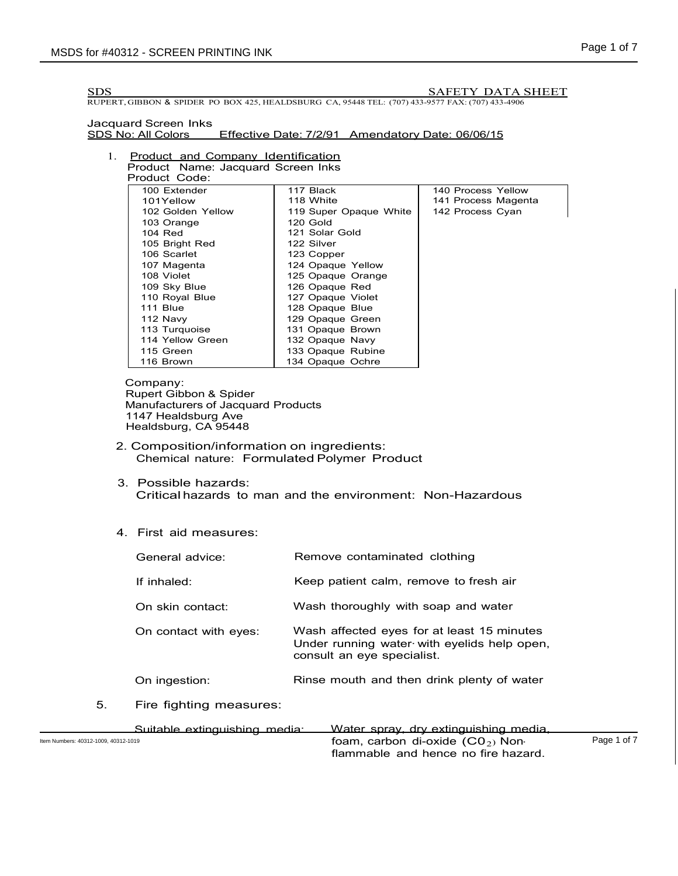SDS \_\_\_\_\_\_\_\_\_\_\_\_SAFETY DATA SHEET

RUPERT, GIBBON & SPIDER PO BOX 425, HEALDSBURG CA, 95448 TEL: (707) 433-9577 FAX: (707) 433-4906

Jacquard Screen Inks<br>SDS No: All Colors Effective Date: 7/2/91 Amendatory Date: 06/06/15

#### 1. Product and Company Identification Product Name: Jacquard Screen Inks

| Product Code:     |                        |                     |
|-------------------|------------------------|---------------------|
| 100 Extender      | 117 Black              | 140 Process Yellow  |
| 101Yellow         | 118 White              | 141 Process Magenta |
| 102 Golden Yellow | 119 Super Opaque White | 142 Process Cyan    |
| 103 Orange        | 120 Gold               |                     |
| 104 Red           | 121 Solar Gold         |                     |
| 105 Bright Red    | 122 Silver             |                     |
| 106 Scarlet       | 123 Copper             |                     |
| 107 Magenta       | 124 Opaque Yellow      |                     |
| 108 Violet        | 125 Opaque Orange      |                     |
| 109 Sky Blue      | 126 Opaque Red         |                     |
| 110 Royal Blue    | 127 Opaque Violet      |                     |
| 111 Blue          | 128 Opaque Blue        |                     |
| 112 Navy          | 129 Opaque Green       |                     |
| 113 Turquoise     | 131 Opaque Brown       |                     |
| 114 Yellow Green  | 132 Opaque Navy        |                     |
| 115 Green         | 133 Opaque Rubine      |                     |
| 116 Brown         | 134 Opaque Ochre       |                     |

Company: Rupert Gibbon & Spider Manufacturers of Jacquard Products 1147 Healdsburg Ave Healdsburg, CA 95448

- 2. Composition/information on ingredients: Chemical nature: Formulated Polymer Product
- 3. Possible hazards: Critical hazards to man and the environment: Non-Hazardous

## 4. First aid measures:

|    | General advice:               | Remove contaminated clothing                                                                                            |
|----|-------------------------------|-------------------------------------------------------------------------------------------------------------------------|
|    | If inhaled:                   | Keep patient calm, remove to fresh air                                                                                  |
|    | On skin contact:              | Wash thoroughly with soap and water                                                                                     |
|    | On contact with eyes:         | Wash affected eyes for at least 15 minutes<br>Under running water with eyelids help open,<br>consult an eye specialist. |
|    | On ingestion:                 | Rinse mouth and then drink plenty of water                                                                              |
| 5. | Fire fighting measures:       |                                                                                                                         |
|    | Cuitable outinguishing modie: | Water enroy dry extinguiching modio                                                                                     |

Suitable extinguishing media: Water spray, dry extinguishing media,<br>Item Numbers: 40312-1009. 40312-1019<br>foam carbon di-oxide (CO<sub>2</sub>) Non.  $\begin{array}{ccccc} \text{Item Numbers: } & 40312 \cdot 1009, & 40312 \cdot 1019 \end{array}$  Page 1 of 7 flammable and hence no fire hazard.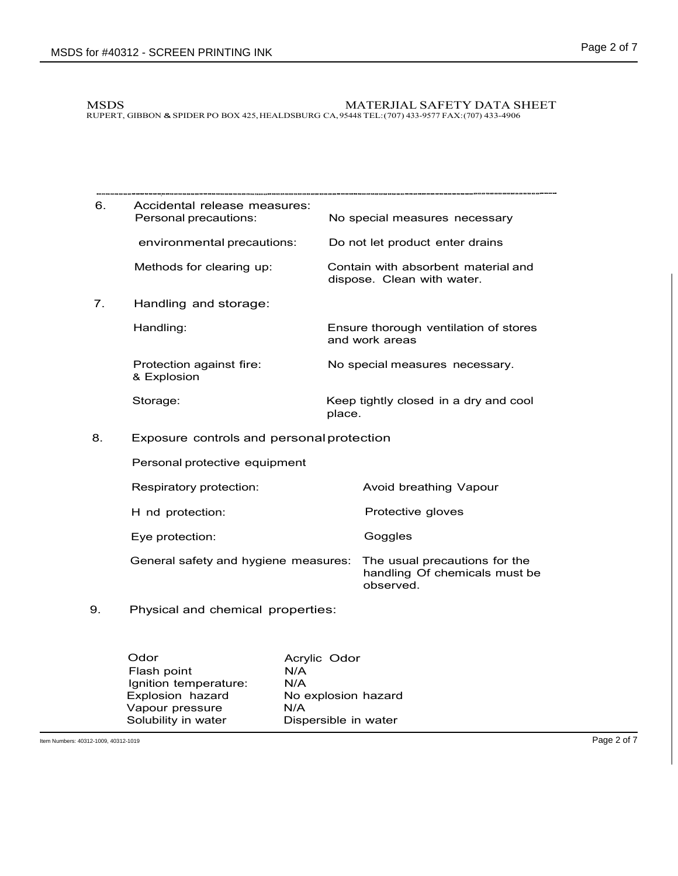#### MSDS MATERJIAL SAFETY DATA SHEET RUPERT, GIBBON & SPIDERPO BOX 425,HEALDSBURG CA, 95448 TEL:(707) 433-9577 FAX:(707) 433-4906

| 6.                                              | Accidental release measures:<br>Personal precautions: |        | No special measures necessary                                               |  |
|-------------------------------------------------|-------------------------------------------------------|--------|-----------------------------------------------------------------------------|--|
|                                                 | environmental precautions:                            |        | Do not let product enter drains                                             |  |
|                                                 | Methods for clearing up:                              |        | Contain with absorbent material and<br>dispose. Clean with water.           |  |
| 7.                                              | Handling and storage:                                 |        |                                                                             |  |
|                                                 | Handling:                                             |        | Ensure thorough ventilation of stores<br>and work areas                     |  |
|                                                 | Protection against fire:<br>& Explosion               |        | No special measures necessary.                                              |  |
|                                                 | Storage:                                              | place. | Keep tightly closed in a dry and cool                                       |  |
| Exposure controls and personal protection<br>8. |                                                       |        |                                                                             |  |
|                                                 | Personal protective equipment                         |        |                                                                             |  |
|                                                 | Respiratory protection:                               |        | Avoid breathing Vapour                                                      |  |
|                                                 | H nd protection:                                      |        | Protective gloves                                                           |  |
|                                                 | Eye protection:                                       |        | Goggles                                                                     |  |
|                                                 | General safety and hygiene measures:                  |        | The usual precautions for the<br>handling Of chemicals must be<br>observed. |  |
| 9.                                              | Physical and chemical properties:                     |        |                                                                             |  |

Odor Flash point Ignition temperature: Explosion hazard Vapour pressure Solubility in water Acrylic Odor N/A N/A No explosion hazard N/A Dispersible in water

Item Numbers: 40312-1009, 40312-1019 **Page 2 of 7**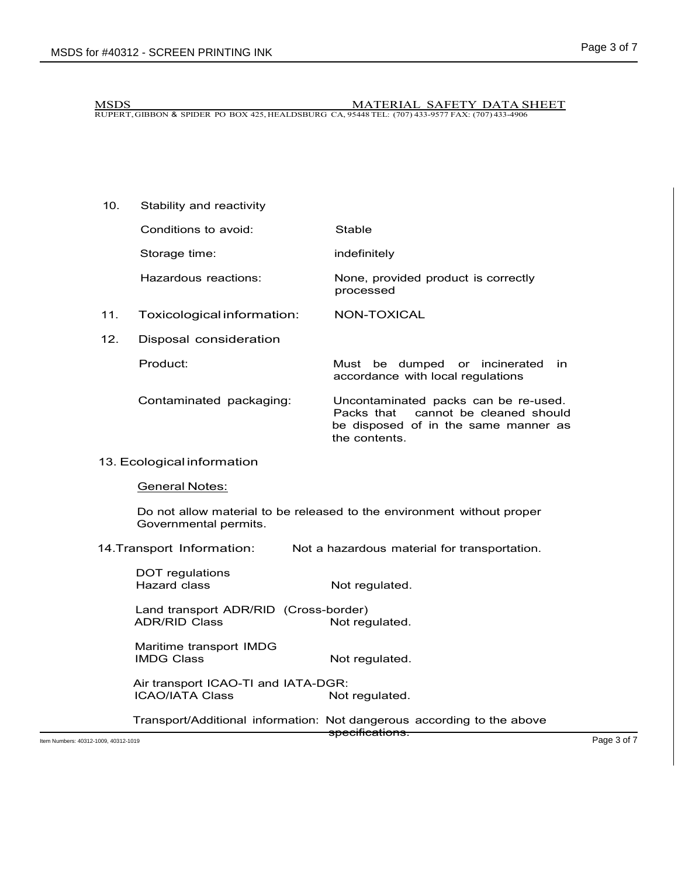10. Stability and reactivity

MSDS MATERIAL SAFETY DATA SHEET RUPERT,GIBBON & SPIDER PO BOX 425, HEALDSBURG CA, 95448 TEL: (707) 433-9577 FAX: (707) 433-4906

- Conditions to avoid: Stable Storage time: indefinitely Hazardous reactions: None, provided product is correctly processed 11. Toxicological information: NON-TOXICAL 12. Disposal consideration
	- Product: Must be dumped or incinerated in accordance with local regulations Contaminated packaging: Uncontaminated packs can be re-used. Packs that cannot be cleaned should be disposed of in the same manner as the contents.
- 13. Ecological information

General Notes:

Do not allow material to be released to the environment without proper Governmental permits.

14.Transport Information: Not a hazardous material for transportation.

| Item Numbers: 40312-1009, 40312-1019 |                                                               |                                                                                                      | Page 3 of 7 |
|--------------------------------------|---------------------------------------------------------------|------------------------------------------------------------------------------------------------------|-------------|
|                                      |                                                               | Transport/Additional information: Not dangerous according to the above<br><del>specifications.</del> |             |
|                                      |                                                               |                                                                                                      |             |
|                                      | <b>ICAO/IATA Class</b>                                        | Not regulated.                                                                                       |             |
|                                      | Air transport ICAO-TI and IATA-DGR:                           |                                                                                                      |             |
|                                      | Maritime transport IMDG<br><b>IMDG Class</b>                  | Not regulated.                                                                                       |             |
|                                      |                                                               |                                                                                                      |             |
|                                      | Land transport ADR/RID (Cross-border)<br><b>ADR/RID Class</b> | Not regulated.                                                                                       |             |
|                                      | DOT regulations<br><b>Hazard class</b>                        | Not regulated.                                                                                       |             |
|                                      |                                                               |                                                                                                      |             |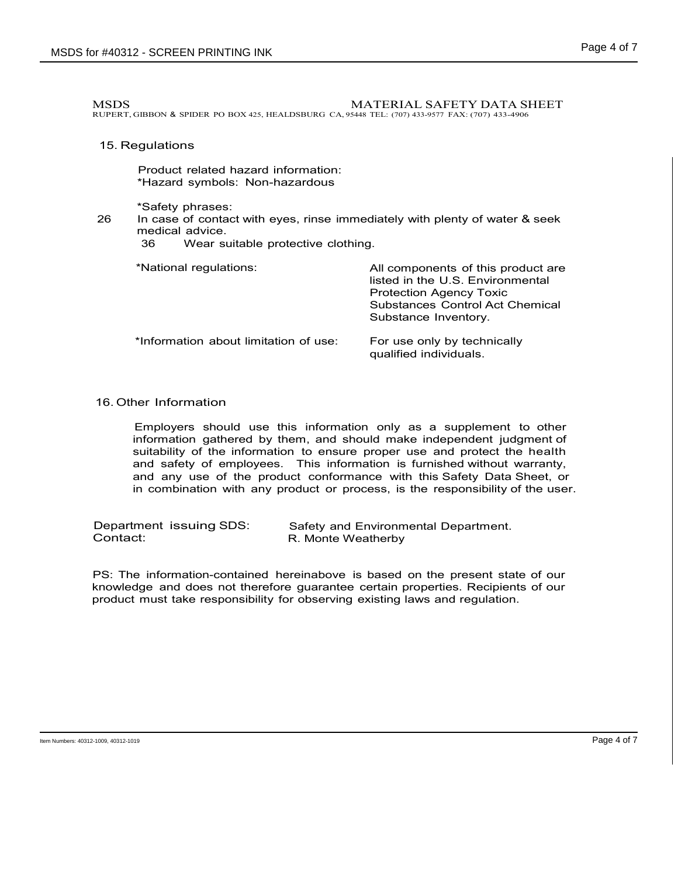MSDS **MATERIAL SAFETY DATA SHEET** 

RUPERT, GIBBON & SPIDER PO BOX 425, HEALDSBURG CA, 95448 TEL: (707) 433-9577 FAX: (707) 433-4906

#### 15. Regulations

Product related hazard information: \*Hazard symbols: Non-hazardous

\*Safety phrases:

26 In case of contact with eyes, rinse immediately with plenty of water & seek medical advice.<br>36 Wear su

Wear suitable protective clothing.

\*National regulations: All components of this product are

|                                       | listed in the U.S. Environmental<br><b>Protection Agency Toxic</b><br>Substances Control Act Chemical<br>Substance Inventory. |  |  |
|---------------------------------------|-------------------------------------------------------------------------------------------------------------------------------|--|--|
| *Information about limitation of use: | For use only by technically<br>qualified individuals.                                                                         |  |  |

# 16. Other Information

Employers should use this information only as a supplement to other information gathered by them, and should make independent judgment of suitability of the information to ensure proper use and protect the health and safety of employees. This information is furnished without warranty, and any use of the product conformance with this Safety Data Sheet, or in combination with any product or process, is the responsibility of the user.

Department issuing SDS: Contact: Safety and Environmental Department. R. Monte Weatherby

PS: The information-contained hereinabove is based on the present state of our knowledge and does not therefore guarantee certain properties. Recipients of our product must take responsibility for observing existing laws and regulation.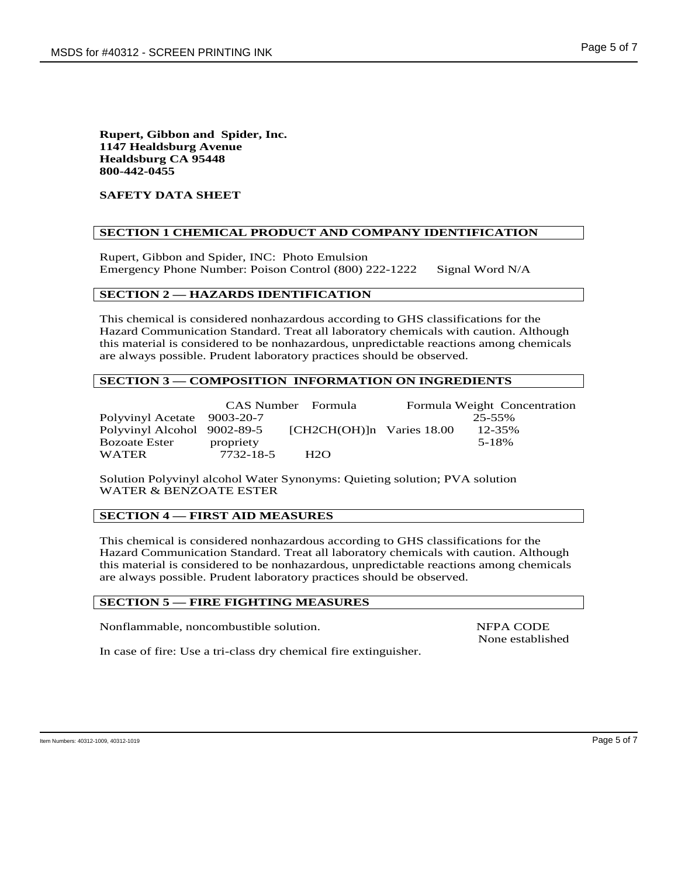## **Rupert, Gibbon and Spider, Inc. 1147 Healdsburg Avenue Healdsburg CA 95448 800-442-0455**

# **SAFETY DATA SHEET**

# **SECTION 1 CHEMICAL PRODUCT AND COMPANY IDENTIFICATION**

Rupert, Gibbon and Spider, INC: Photo Emulsion Emergency Phone Number: Poison Control (800) 222-1222 Signal Word N/A

# **SECTION 2 — HAZARDS IDENTIFICATION**

This chemical is considered nonhazardous according to GHS classifications for the Hazard Communication Standard. Treat all laboratory chemicals with caution. Although this material is considered to be nonhazardous, unpredictable reactions among chemicals are always possible. Prudent laboratory practices should be observed.

## **SECTION 3 — COMPOSITION INFORMATION ON INGREDIENTS**

|                             | CAS Number Formula |                             |  | Formula Weight Concentration |  |
|-----------------------------|--------------------|-----------------------------|--|------------------------------|--|
| Polyvinyl Acetate 9003-20-7 |                    |                             |  | 25-55%                       |  |
| Polyvinyl Alcohol 9002-89-5 |                    | $[CH2CH(OH)]n$ Varies 18.00 |  | 12-35%                       |  |
| Bozoate Ester               | propriety          |                             |  | 5-18%                        |  |
| WATER                       | 7732-18-5          | H2O                         |  |                              |  |

Solution Polyvinyl alcohol Water Synonyms: Quieting solution; PVA solution WATER & BENZOATE ESTER

## **SECTION 4 — FIRST AID MEASURES**

This chemical is considered nonhazardous according to GHS classifications for the Hazard Communication Standard. Treat all laboratory chemicals with caution. Although this material is considered to be nonhazardous, unpredictable reactions among chemicals are always possible. Prudent laboratory practices should be observed.

# **SECTION 5 — FIRE FIGHTING MEASURES**

Nonflammable, noncombustible solution. NFPA CODE

None established

In case of fire: Use a tri-class dry chemical fire extinguisher.

Item Numbers: 40312-1009, 40312-1019 Page 5 of 7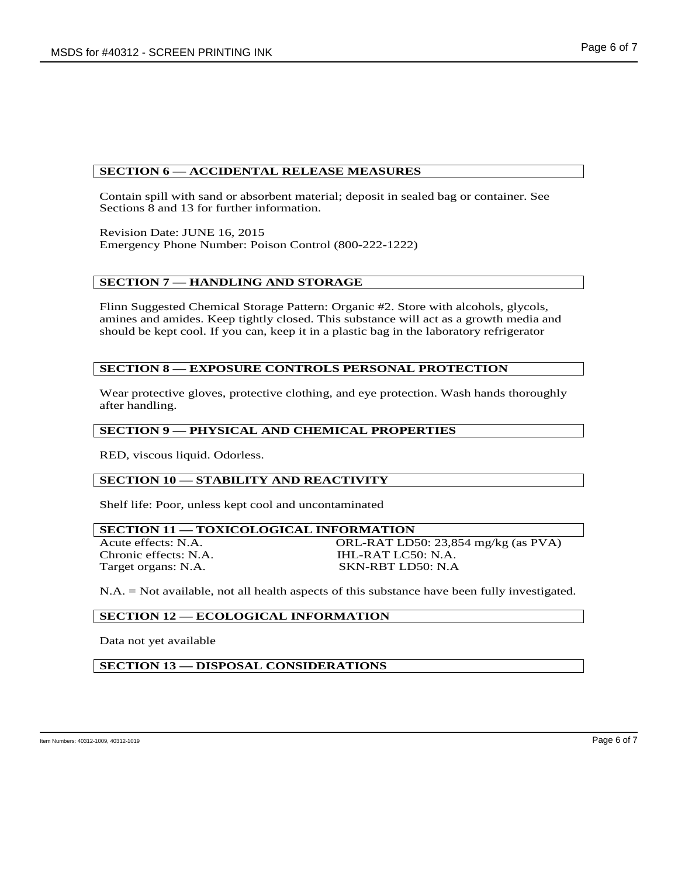#### **SECTION 6 — ACCIDENTAL RELEASE MEASURES**

Contain spill with sand or absorbent material; deposit in sealed bag or container. See Sections 8 and 13 for further information.

Revision Date: JUNE 16, 2015 Emergency Phone Number: Poison Control (800-222-1222)

#### **SECTION 7 — HANDLING AND STORAGE**

Flinn Suggested Chemical Storage Pattern: Organic #2. Store with alcohols, glycols, amines and amides. Keep tightly closed. This substance will act as a growth media and should be kept cool. If you can, keep it in a plastic bag in the laboratory refrigerator

#### **SECTION 8 — EXPOSURE CONTROLS PERSONAL PROTECTION**

Wear protective gloves, protective clothing, and eye protection. Wash hands thoroughly after handling.

#### **SECTION 9 — PHYSICAL AND CHEMICAL PROPERTIES**

RED, viscous liquid. Odorless.

#### **SECTION 10 — STABILITY AND REACTIVITY**

Shelf life: Poor, unless kept cool and uncontaminated

# **SECTION 11 — TOXICOLOGICAL INFORMATION** Acute effects: N.A. ORL-RAT LD50: 23,854 mg/kg (as PVA)<br>Chronic effects: N.A. IHL-RAT LC50: N.A.

IHL-RAT LC50: N.A. Target organs: N.A. SKN-RBT LD50: N.A

N.A. = Not available, not all health aspects of this substance have been fully investigated.

#### **SECTION 12 — ECOLOGICAL INFORMATION**

Data not yet available

**SECTION 13 — DISPOSAL CONSIDERATIONS**